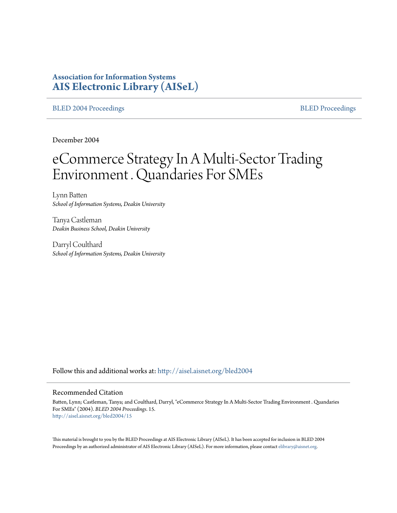# **Association for Information Systems [AIS Electronic Library \(AISeL\)](http://aisel.aisnet.org?utm_source=aisel.aisnet.org%2Fbled2004%2F15&utm_medium=PDF&utm_campaign=PDFCoverPages)**

[BLED 2004 Proceedings](http://aisel.aisnet.org/bled2004?utm_source=aisel.aisnet.org%2Fbled2004%2F15&utm_medium=PDF&utm_campaign=PDFCoverPages) and the state of the state of the [BLED Proceedings](http://aisel.aisnet.org/bled?utm_source=aisel.aisnet.org%2Fbled2004%2F15&utm_medium=PDF&utm_campaign=PDFCoverPages) and the BLED Proceedings and the BLED Proceedings and the BLED Proceedings and the BLED Proceedings and the BLED Proceedings and the BLED Proceedings

December 2004

# eCommerce Strategy In A Multi-Sector Trading Environment . Quandaries For SMEs

Lynn Batten *School of Information Systems, Deakin University*

Tanya Castleman *Deakin Business School, Deakin University*

Darryl Coulthard *School of Information Systems, Deakin University*

Follow this and additional works at: [http://aisel.aisnet.org/bled2004](http://aisel.aisnet.org/bled2004?utm_source=aisel.aisnet.org%2Fbled2004%2F15&utm_medium=PDF&utm_campaign=PDFCoverPages)

#### Recommended Citation

Batten, Lynn; Castleman, Tanya; and Coulthard, Darryl, "eCommerce Strategy In A Multi-Sector Trading Environment . Quandaries For SMEs" (2004). *BLED 2004 Proceedings*. 15. [http://aisel.aisnet.org/bled2004/15](http://aisel.aisnet.org/bled2004/15?utm_source=aisel.aisnet.org%2Fbled2004%2F15&utm_medium=PDF&utm_campaign=PDFCoverPages)

This material is brought to you by the BLED Proceedings at AIS Electronic Library (AISeL). It has been accepted for inclusion in BLED 2004 Proceedings by an authorized administrator of AIS Electronic Library (AISeL). For more information, please contact [elibrary@aisnet.org](mailto:elibrary@aisnet.org%3E).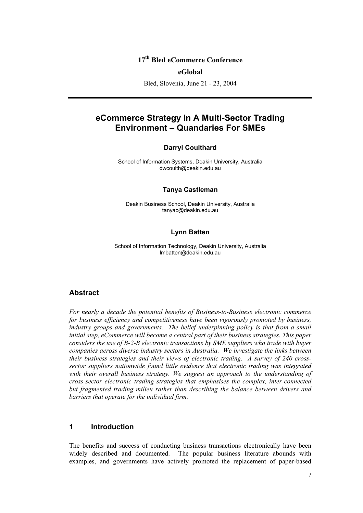# **17th Bled eCommerce Conference**

#### **eGlobal**

Bled, Slovenia, June 21 - 23, 2004

# **eCommerce Strategy In A Multi-Sector Trading Environment – Quandaries For SMEs**

#### **Darryl Coulthard**

School of Information Systems, Deakin University, Australia dwcoulth@deakin.edu.au

#### **Tanya Castleman**

Deakin Business School, Deakin University, Australia tanyac@deakin.edu.au

#### **Lynn Batten**

School of Information Technology, Deakin University, Australia lmbatten@deakin.edu.au

### **Abstract**

*For nearly a decade the potential benefits of Business-to-Business electronic commerce for business efficiency and competitiveness have been vigorously promoted by business, industry groups and governments. The belief underpinning policy is that from a small initial step, eCommerce will become a central part of their business strategies. This paper considers the use of B-2-B electronic transactions by SME suppliers who trade with buyer companies across diverse industry sectors in Australia. We investigate the links between their business strategies and their views of electronic trading. A survey of 240 crosssector suppliers nationwide found little evidence that electronic trading was integrated*  with their overall business strategy. We suggest an approach to the understanding of *cross-sector electronic trading strategies that emphasises the complex, inter-connected but fragmented trading milieu rather than describing the balance between drivers and barriers that operate for the individual firm.* 

## **1 Introduction**

The benefits and success of conducting business transactions electronically have been widely described and documented. The popular business literature abounds with examples, and governments have actively promoted the replacement of paper-based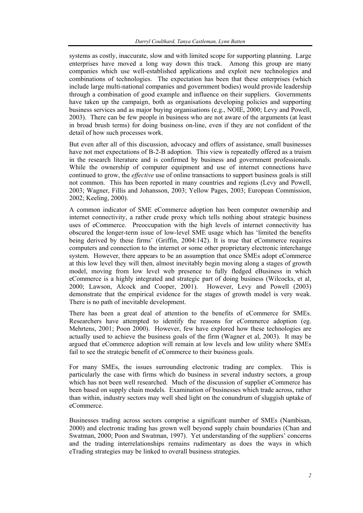systems as costly, inaccurate, slow and with limited scope for supporting planning. Large enterprises have moved a long way down this track. Among this group are many companies which use well-established applications and exploit new technologies and combinations of technologies. The expectation has been that these enterprises (which include large multi-national companies and government bodies) would provide leadership through a combination of good example and influence on their suppliers. Governments have taken up the campaign, both as organisations developing policies and supporting business services and as major buying organisations (e.g., NOIE, 2000; Levy and Powell, 2003). There can be few people in business who are not aware of the arguments (at least in broad brush terms) for doing business on-line, even if they are not confident of the detail of how such processes work.

But even after all of this discussion, advocacy and offers of assistance, small businesses have not met expectations of B-2-B adoption. This view is repeatedly offered as a truism in the research literature and is confirmed by business and government professionals. While the ownership of computer equipment and use of internet connections have continued to grow, the *effective* use of online transactions to support business goals is still not common. This has been reported in many countries and regions (Levy and Powell, 2003; Wagner, Fillis and Johansson, 2003; Yellow Pages, 2003; European Commission, 2002; Keeling, 2000).

A common indicator of SME eCommerce adoption has been computer ownership and internet connectivity, a rather crude proxy which tells nothing about strategic business uses of eCommerce. Preoccupation with the high levels of internet connectivity has obscured the longer-term issue of low-level SME usage which has 'limited the benefits being derived by these firms' (Griffin, 2004:142). It is true that eCommerce requires computers and connection to the internet or some other proprietary electronic interchange system. However, there appears to be an assumption that once SMEs adopt eCommerce at this low level they will then, almost inevitably begin moving along a stages of growth model, moving from low level web presence to fully fledged eBusiness in which eCommerce is a highly integrated and strategic part of doing business (Wilcocks, et al, 2000; Lawson, Alcock and Cooper, 2001). However, Levy and Powell (2003) demonstrate that the empirical evidence for the stages of growth model is very weak. There is no path of inevitable development.

There has been a great deal of attention to the benefits of eCommerce for SMEs. Researchers have attempted to identify the reasons for eCommerce adoption (eg. Mehrtens, 2001; Poon 2000). However, few have explored how these technologies are actually used to achieve the business goals of the firm (Wagner et al, 2003). It may be argued that eCommerce adoption will remain at low levels and low utility where SMEs fail to see the strategic benefit of eCommerce to their business goals.

For many SMEs, the issues surrounding electronic trading are complex. This is particularly the case with firms which do business in several industry sectors, a group which has not been well researched. Much of the discussion of supplier eCommerce has been based on supply chain models. Examination of businesses which trade across, rather than within, industry sectors may well shed light on the conundrum of sluggish uptake of eCommerce.

Businesses trading across sectors comprise a significant number of SMEs (Nambisan, 2000) and electronic trading has grown well beyond supply chain boundaries (Chan and Swatman, 2000; Poon and Swatman, 1997). Yet understanding of the suppliers' concerns and the trading interrelationships remains rudimentary as does the ways in which eTrading strategies may be linked to overall business strategies.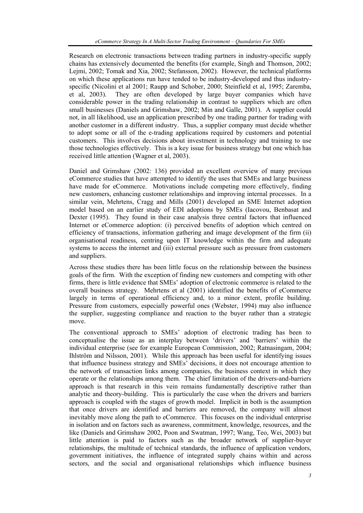Research on electronic transactions between trading partners in industry-specific supply chains has extensively documented the benefits (for example, Singh and Thomson, 2002; Lejmi, 2002; Tomak and Xia, 2002; Stefansson, 2002). However, the technical platforms on which these applications run have tended to be industry-developed and thus industryspecific (Nicolini et al 2001; Raupp and Schober, 2000; Steinfield et al, 1995; Zaremba, et al, 2003). They are often developed by large buyer companies which have considerable power in the trading relationship in contrast to suppliers which are often small businesses (Daniels and Grimshaw, 2002; Min and Galle, 2001). A supplier could not, in all likelihood, use an application prescribed by one trading partner for trading with another customer in a different industry. Thus, a supplier company must decide whether to adopt some or all of the e-trading applications required by customers and potential customers. This involves decisions about investment in technology and training to use those technologies effectively. This is a key issue for business strategy but one which has received little attention (Wagner et al, 2003).

Daniel and Grimshaw (2002: 136) provided an excellent overview of many previous eCommerce studies that have attempted to identify the uses that SMEs and large business have made for eCommerce. Motivations include competing more effectively, finding new customers, enhancing customer relationships and improving internal processes. In a similar vein, Mehrtens, Cragg and Mills (2001) developed an SME Internet adoption model based on an earlier study of EDI adoptions by SMEs (Iacovou, Benbasat and Dexter (1995). They found in their case analysis three central factors that influenced Internet or eCommerce adoption: (i) perceived benefits of adoption which centred on efficiency of transactions, information gathering and image development of the firm (ii) organisational readiness, centring upon IT knowledge within the firm and adequate systems to access the internet and (iii) external pressure such as pressure from customers and suppliers.

Across these studies there has been little focus on the relationship between the business goals of the firm. With the exception of finding new customers and competing with other firms, there is little evidence that SMEs' adoption of electronic commerce is related to the overall business strategy. Mehrtens et al (2001) identified the benefits of eCommerce largely in terms of operational efficiency and, to a minor extent, profile building. Pressure from customers, especially powerful ones (Webster, 1994) may also influence the supplier, suggesting compliance and reaction to the buyer rather than a strategic move.

The conventional approach to SMEs' adoption of electronic trading has been to conceptualise the issue as an interplay between 'drivers' and 'barriers' within the individual enterprise (see for example European Commission, 2002; Ratnasingam, 2004; Ihlström and Nilsson, 2001). While this approach has been useful for identifying issues that influence business strategy and SMEs' decisions, it does not encourage attention to the network of transaction links among companies, the business context in which they operate or the relationships among them. The chief limitation of the drivers-and-barriers approach is that research in this vein remains fundamentally descriptive rather than analytic and theory-building. This is particularly the case when the drivers and barriers approach is coupled with the stages of growth model. Implicit in both is the assumption that once drivers are identified and barriers are removed, the company will almost inevitably move along the path to eCommerce. This focuses on the individual enterprise in isolation and on factors such as awareness, commitment, knowledge, resources, and the like (Daniels and Grimshaw 2002, Poon and Swatman, 1997; Wang, Teo, Wei, 2003) but little attention is paid to factors such as the broader network of supplier-buyer relationships, the multitude of technical standards, the influence of application vendors, government initiatives, the influence of integrated supply chains within and across sectors, and the social and organisational relationships which influence business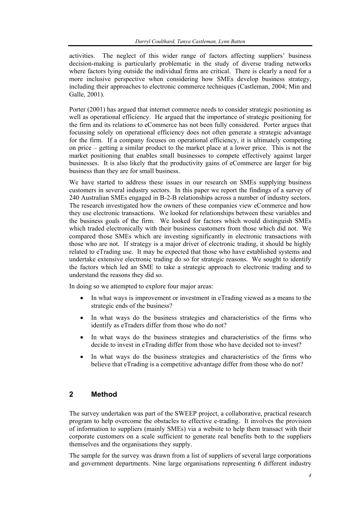activities. The neglect of this wider range of factors affecting suppliers' business decision-making is particularly problematic in the study of diverse trading networks where factors lying outside the individual firms are critical. There is clearly a need for a more inclusive perspective when considering how SMEs develop business strategy, including their approaches to electronic commerce techniques (Castleman, 2004; Min and Galle, 2001).

Porter (2001) has argued that internet commerce needs to consider strategic positioning as well as operational efficiency. He argued that the importance of strategic positioning for the firm and its relations to eCommerce has not been fully considered. Porter argues that focussing solely on operational efficiency does not often generate a strategic advantage for the firm. If a company focuses on operational efficiency, it is ultimately competing on price – getting a similar product to the market place at a lower price. This is not the market positioning that enables small businesses to compete effectively against larger businesses. It is also likely that the productivity gains of eCommerce are larger for big business than they are for small business.

We have started to address these issues in our research on SMEs supplying business customers in several industry sectors. In this paper we report the findings of a survey of 240 Australian SMEs engaged in B-2-B relationships across a number of industry sectors. The research investigated how the owners of these companies view eCommerce and how they use electronic transactions. We looked for relationships between these variables and the business goals of the firm. We looked for factors which would distinguish SMEs which traded electronically with their business customers from those which did not. We compared those SMEs which are investing significantly in electronic transactions with those who are not. If strategy is a major driver of electronic trading, it should be highly related to eTrading use. It may be expected that those who have established systems and undertake extensive electronic trading do so for strategic reasons. We sought to identify the factors which led an SME to take a strategic approach to electronic trading and to understand the reasons they did so.

In doing so we attempted to explore four major areas:

- In what ways is improvement or investment in eTrading viewed as a means to the strategic ends of the business?
- In what ways do the business strategies and characteristics of the firms who identify as eTraders differ from those who do not?
- In what ways do the business strategies and characteristics of the firms who decide to invest in eTrading differ from those who have decided not to invest?
- In what ways do the business strategies and characteristics of the firms who believe that eTrading is a competitive advantage differ from those who do not?

## **2 Method**

The survey undertaken was part of the SWEEP project, a collaborative, practical research program to help overcome the obstacles to effective e-trading. It involves the provision of information to suppliers (mainly SMEs) via a website to help them transact with their corporate customers on a scale sufficient to generate real benefits both to the suppliers themselves and the organisations they supply.

The sample for the survey was drawn from a list of suppliers of several large corporations and government departments. Nine large organisations representing 6 different industry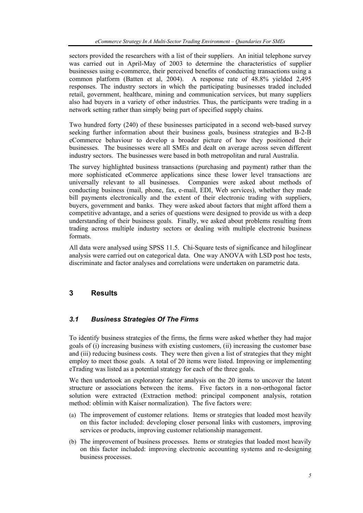sectors provided the researchers with a list of their suppliers. An initial telephone survey was carried out in April-May of 2003 to determine the characteristics of supplier businesses using e-commerce, their perceived benefits of conducting transactions using a common platform (Batten et al, 2004). A response rate of 48.8% yielded 2,495 responses. The industry sectors in which the participating businesses traded included retail, government, healthcare, mining and communication services, but many suppliers also had buyers in a variety of other industries. Thus, the participants were trading in a network setting rather than simply being part of specified supply chains.

Two hundred forty (240) of these businesses participated in a second web-based survey seeking further information about their business goals, business strategies and B-2-B eCommerce behaviour to develop a broader picture of how they positioned their businesses. The businesses were all SMEs and dealt on average across seven different industry sectors. The businesses were based in both metropolitan and rural Australia.

The survey highlighted business transactions (purchasing and payment) rather than the more sophisticated eCommerce applications since these lower level transactions are universally relevant to all businesses. Companies were asked about methods of conducting business (mail, phone, fax, e-mail, EDI, Web services), whether they made bill payments electronically and the extent of their electronic trading with suppliers, buyers, government and banks. They were asked about factors that might afford them a competitive advantage, and a series of questions were designed to provide us with a deep understanding of their business goals. Finally, we asked about problems resulting from trading across multiple industry sectors or dealing with multiple electronic business formats.

All data were analysed using SPSS 11.5. Chi-Square tests of significance and hiloglinear analysis were carried out on categorical data. One way ANOVA with LSD post hoc tests, discriminate and factor analyses and correlations were undertaken on parametric data.

# **3 Results**

## *3.1 Business Strategies Of The Firms*

To identify business strategies of the firms, the firms were asked whether they had major goals of (i) increasing business with existing customers, (ii) increasing the customer base and (iii) reducing business costs. They were then given a list of strategies that they might employ to meet those goals. A total of 20 items were listed. Improving or implementing eTrading was listed as a potential strategy for each of the three goals.

We then undertook an exploratory factor analysis on the 20 items to uncover the latent structure or associations between the items. Five factors in a non-orthogonal factor solution were extracted (Extraction method: principal component analysis, rotation method: oblimin with Kaiser normalization). The five factors were:

- (a) The improvement of customer relations. Items or strategies that loaded most heavily on this factor included: developing closer personal links with customers, improving services or products, improving customer relationship management.
- (b) The improvement of business processes. Items or strategies that loaded most heavily on this factor included: improving electronic accounting systems and re-designing business processes.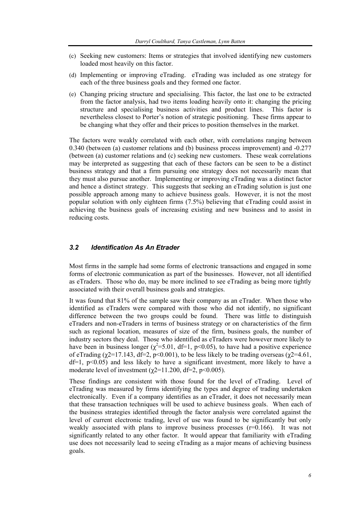- (c) Seeking new customers: Items or strategies that involved identifying new customers loaded most heavily on this factor.
- (d) Implementing or improving eTrading. eTrading was included as one strategy for each of the three business goals and they formed one factor.
- (e) Changing pricing structure and specialising. This factor, the last one to be extracted from the factor analysis, had two items loading heavily onto it: changing the pricing structure and specialising business activities and product lines. This factor is nevertheless closest to Porter's notion of strategic positioning. These firms appear to be changing what they offer and their prices to position themselves in the market.

The factors were weakly correlated with each other, with correlations ranging between 0.340 (between (a) customer relations and (b) business process improvement) and -0.277 (between (a) customer relations and (c) seeking new customers. These weak correlations may be interpreted as suggesting that each of these factors can be seen to be a distinct business strategy and that a firm pursuing one strategy does not necessarily mean that they must also pursue another. Implementing or improving eTrading was a distinct factor and hence a distinct strategy. This suggests that seeking an eTrading solution is just one possible approach among many to achieve business goals. However, it is not the most popular solution with only eighteen firms (7.5%) believing that eTrading could assist in achieving the business goals of increasing existing and new business and to assist in reducing costs.

#### *3.2 Identification As An Etrader*

Most firms in the sample had some forms of electronic transactions and engaged in some forms of electronic communication as part of the businesses. However, not all identified as eTraders. Those who do, may be more inclined to see eTrading as being more tightly associated with their overall business goals and strategies.

It was found that 81% of the sample saw their company as an eTrader. When those who identified as eTraders were compared with those who did not identify, no significant difference between the two groups could be found. There was little to distinguish eTraders and non-eTraders in terms of business strategy or on characteristics of the firm such as regional location, measures of size of the firm, business goals, the number of industry sectors they deal. Those who identified as eTraders were however more likely to have been in business longer ( $\chi^2$ =5.01, df=1, p<0.05), to have had a positive experience of eTrading ( $\chi$ 2=17.143, df=2, p<0.001), to be less likely to be trading overseas ( $\chi$ 2=4.61,  $df=1$ ,  $p<0.05$ ) and less likely to have a significant investment, more likely to have a moderate level of investment ( $\gamma$ 2=11.200, df=2, p<0.005).

These findings are consistent with those found for the level of eTrading. Level of eTrading was measured by firms identifying the types and degree of trading undertaken electronically. Even if a company identifies as an eTrader, it does not necessarily mean that these transaction techniques will be used to achieve business goals. When each of the business strategies identified through the factor analysis were correlated against the level of current electronic trading, level of use was found to be significantly but only weakly associated with plans to improve business processes  $(r=0.166)$ . It was not significantly related to any other factor. It would appear that familiarity with eTrading use does not necessarily lead to seeing eTrading as a major means of achieving business goals.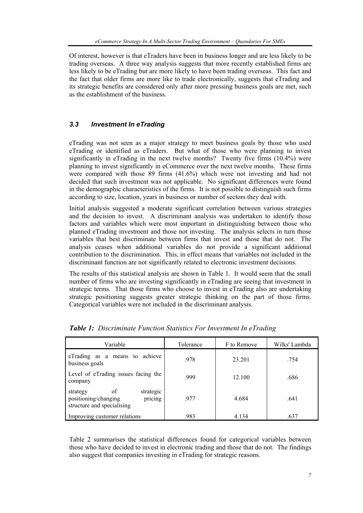Of interest, however is that eTraders have been in business longer and are less likely to be trading overseas. A three way analysis suggests that more recently established firms are less likely to be eTrading but are more likely to have been trading overseas. This fact and the fact that older firms are more like to trade electronically, suggests that eTrading and its strategic benefits are considered only after more pressing business goals are met, such as the establishment of the business.

# *3.3 Investment In eTrading*

eTrading was not seen as a major strategy to meet business goals by those who used eTrading or identified as eTraders. But what of those who were planning to invest significantly in eTrading in the next twelve months? Twenty five firms (10.4%) were planning to invest significantly in eCommerce over the next twelve months. These firms were compared with those 89 firms (41.6%) which were not investing and had not decided that such investment was not applicable. No significant differences were found in the demographic characteristics of the firms. It is not possible to distinguish such firms according to size, location, years in business or number of sectors they deal with.

Initial analysis suggested a moderate significant correlation between various strategies and the decision to invest. A discriminant analysis was undertaken to identify those factors and variables which were most important in distinguishing between those who planned eTrading investment and those not investing. The analysis selects in turn those variables that best discriminate between firms that invest and those that do not. The analysis ceases when additional variables do not provide a significant additional contribution to the discrimination. This, in effect means that variables not included in the discriminant function are not significantly related to electronic investment decisions.

The results of this statistical analysis are shown in Table 1. It would seem that the small number of firms who are investing significantly in eTrading are seeing that investment in strategic terms. That those firms who choose to invest in eTrading also are undertaking strategic positioning suggests greater strategic thinking on the part of those firms. Categorical variables were not included in the discriminant analysis.

| Variable                                                                                     | Tolerance | F to Remove | Wilks' Lambda |
|----------------------------------------------------------------------------------------------|-----------|-------------|---------------|
| achieve<br>eTrading as a means to<br>business goals                                          | .978      | 23.201      | .754          |
| Level of eTrading issues facing the<br>company                                               | 999       | 12.100      | .686          |
| οf<br>strategic<br>strategy<br>positioning/changing<br>pricing<br>structure and specialising | .977      | 4.684       | .641          |
| Improving customer relations                                                                 | .983      | 4.134       | .637          |

*Table 1: Discriminate Function Statistics For Investment In eTrading* 

Table 2 summarises the statistical differences found for categorical variables between those who have decided to invest in electronic trading and those that do not. The findings also suggest that companies investing in eTrading for strategic reasons.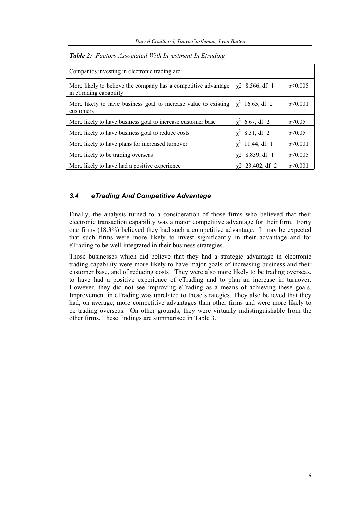| Companies investing in electronic trading are:                                           |                         |         |  |  |
|------------------------------------------------------------------------------------------|-------------------------|---------|--|--|
| More likely to believe the company has a competitive advantage<br>in eTrading capability | $\chi$ 2=8.566, df=1    | p<0.005 |  |  |
| More likely to have business goal to increase value to existing<br>customers             | $\chi^2$ =16.65, df=2   | p<0.001 |  |  |
| More likely to have business goal to increase customer base                              | $\chi^2$ =6.67, df=2    | p<0.05  |  |  |
| More likely to have business goal to reduce costs                                        | $\chi^2$ =8.31, df=2    | p<0.05  |  |  |
| More likely to have plans for increased turnover                                         | $\chi^2$ =11.44, df=1   | p<0.001 |  |  |
| More likely to be trading overseas                                                       | $\gamma$ 2=8.839, df=1  | p<0.005 |  |  |
| More likely to have had a positive experience                                            | $\gamma$ 2=23.402, df=2 | p<0.001 |  |  |

*Table 2: Factors Associated With Investment In Etrading*

#### *3.4 eTrading And Competitive Advantage*

Finally, the analysis turned to a consideration of those firms who believed that their electronic transaction capability was a major competitive advantage for their firm. Forty one firms (18.3%) believed they had such a competitive advantage. It may be expected that such firms were more likely to invest significantly in their advantage and for eTrading to be well integrated in their business strategies.

Those businesses which did believe that they had a strategic advantage in electronic trading capability were more likely to have major goals of increasing business and their customer base, and of reducing costs. They were also more likely to be trading overseas, to have had a positive experience of eTrading and to plan an increase in turnover. However, they did not see improving eTrading as a means of achieving these goals. Improvement in eTrading was unrelated to these strategies. They also believed that they had, on average, more competitive advantages than other firms and were more likely to be trading overseas. On other grounds, they were virtually indistinguishable from the other firms. These findings are summarised in Table 3.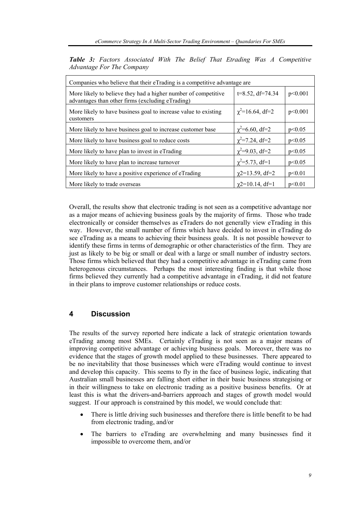| Companies who believe that their eTrading is a competitive advantage are                                           |                          |         |  |  |
|--------------------------------------------------------------------------------------------------------------------|--------------------------|---------|--|--|
| More likely to believe they had a higher number of competitive<br>advantages than other firms (excluding eTrading) | $t=8.52$ , df=74.34      | p<0.001 |  |  |
| More likely to have business goal to increase value to existing<br>customers                                       | $\chi^2$ =16.64, df=2    | p<0.001 |  |  |
| More likely to have business goal to increase customer base                                                        | $\gamma^2 = 6.60$ , df=2 | p<0.05  |  |  |
| More likely to have business goal to reduce costs                                                                  | $\chi^2$ =7.24, df=2     | p<0.05  |  |  |
| More likely to have plan to invest in eTrading                                                                     | $\gamma^2 = 9.03$ , df=2 | p<0.05  |  |  |
| More likely to have plan to increase turnover                                                                      | $\chi^2 = 5.73$ , df=1   | p<0.05  |  |  |
| More likely to have a positive experience of eTrading                                                              | $\chi$ 2=13.59, df=2     | p<0.01  |  |  |
| More likely to trade overseas                                                                                      | $\gamma$ 2=10.14, df=1   | p<0.01  |  |  |

*Table 3: Factors Associated With The Belief That Etrading Was A Competitive Advantage For The Company* 

Overall, the results show that electronic trading is not seen as a competitive advantage nor as a major means of achieving business goals by the majority of firms. Those who trade electronically or consider themselves as eTraders do not generally view eTrading in this way. However, the small number of firms which have decided to invest in eTrading do see eTrading as a means to achieving their business goals. It is not possible however to identify these firms in terms of demographic or other characteristics of the firm. They are just as likely to be big or small or deal with a large or small number of industry sectors. Those firms which believed that they had a competitive advantage in eTrading came from heterogenous circumstances. Perhaps the most interesting finding is that while those firms believed they currently had a competitive advantage in eTrading, it did not feature in their plans to improve customer relationships or reduce costs.

## **4 Discussion**

The results of the survey reported here indicate a lack of strategic orientation towards eTrading among most SMEs. Certainly eTrading is not seen as a major means of improving competitive advantage or achieving business goals. Moreover, there was no evidence that the stages of growth model applied to these businesses. There appeared to be no inevitability that those businesses which were eTrading would continue to invest and develop this capacity. This seems to fly in the face of business logic, indicating that Australian small businesses are falling short either in their basic business strategising or in their willingness to take on electronic trading as a positive business benefits. Or at least this is what the drivers-and-barriers approach and stages of growth model would suggest. If our approach is constrained by this model, we would conclude that:

- There is little driving such businesses and therefore there is little benefit to be had from electronic trading, and/or
- The barriers to eTrading are overwhelming and many businesses find it impossible to overcome them, and/or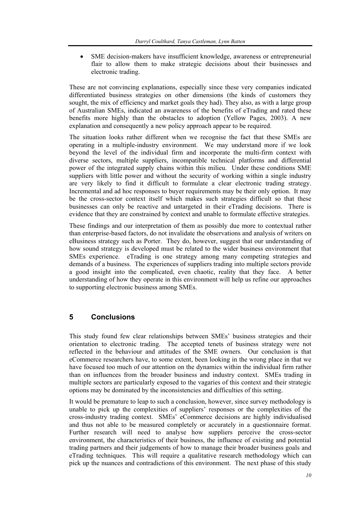SME decision-makers have insufficient knowledge, awareness or entrepreneurial flair to allow them to make strategic decisions about their businesses and electronic trading.

These are not convincing explanations, especially since these very companies indicated differentiated business strategies on other dimensions (the kinds of customers they sought, the mix of efficiency and market goals they had). They also, as with a large group of Australian SMEs, indicated an awareness of the benefits of eTrading and rated these benefits more highly than the obstacles to adoption (Yellow Pages, 2003). A new explanation and consequently a new policy approach appear to be required.

The situation looks rather different when we recognise the fact that these SMEs are operating in a multiple-industry environment. We may understand more if we look beyond the level of the individual firm and incorporate the multi-firm context with diverse sectors, multiple suppliers, incompatible technical platforms and differential power of the integrated supply chains within this milieu. Under these conditions SME suppliers with little power and without the security of working within a single industry are very likely to find it difficult to formulate a clear electronic trading strategy. Incremental and ad hoc responses to buyer requirements may be their only option. It may be the cross-sector context itself which makes such strategies difficult so that these businesses can only be reactive and untargeted in their eTrading decisions. There is evidence that they are constrained by context and unable to formulate effective strategies.

These findings and our interpretation of them as possibly due more to contextual rather than enterprise-based factors, do not invalidate the observations and analysis of writers on eBusiness strategy such as Porter. They do, however, suggest that our understanding of how sound strategy is developed must be related to the wider business environment that SMEs experience. eTrading is one strategy among many competing strategies and demands of a business. The experiences of suppliers trading into multiple sectors provide a good insight into the complicated, even chaotic, reality that they face. A better understanding of how they operate in this environment will help us refine our approaches to supporting electronic business among SMEs.

## **5 Conclusions**

This study found few clear relationships between SMEs' business strategies and their orientation to electronic trading. The accepted tenets of business strategy were not reflected in the behaviour and attitudes of the SME owners. Our conclusion is that eCommerce researchers have, to some extent, been looking in the wrong place in that we have focused too much of our attention on the dynamics within the individual firm rather than on influences from the broader business and industry context. SMEs trading in multiple sectors are particularly exposed to the vagaries of this context and their strategic options may be dominated by the inconsistencies and difficulties of this setting.

It would be premature to leap to such a conclusion, however, since survey methodology is unable to pick up the complexities of suppliers' responses or the complexities of the cross-industry trading context. SMEs' eCommerce decisions are highly individualised and thus not able to be measured completely or accurately in a questionnaire format. Further research will need to analyse how suppliers perceive the cross-sector environment, the characteristics of their business, the influence of existing and potential trading partners and their judgements of how to manage their broader business goals and eTrading techniques. This will require a qualitative research methodology which can pick up the nuances and contradictions of this environment. The next phase of this study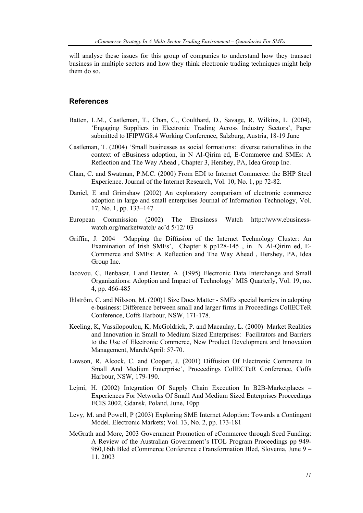will analyse these issues for this group of companies to understand how they transact business in multiple sectors and how they think electronic trading techniques might help them do so.

#### **References**

- Batten, L.M., Castleman, T., Chan, C., Coulthard, D., Savage, R. Wilkins, L. (2004), 'Engaging Suppliers in Electronic Trading Across Industry Sectors', Paper submitted to IFIPWG8.4 Working Conference, Salzburg, Austria, 18-19 June
- Castleman, T. (2004) 'Small businesses as social formations: diverse rationalities in the context of eBusiness adoption, in N Al-Qirim ed, E-Commerce and SMEs: A Reflection and The Way Ahead , Chapter 3, Hershey, PA, Idea Group Inc.
- Chan, C. and Swatman, P.M.C. (2000) From EDI to Internet Commerce: the BHP Steel Experience. Journal of the Internet Research, Vol. 10, No. 1, pp 72-82.
- Daniel, E and Grimshaw (2002) An exploratory comparison of electronic commerce adoption in large and small enterprises Journal of Information Technology, Vol. 17, No. 1, pp. 133–147
- European Commission (2002) The Ebusiness Watch http://www.ebusinesswatch.org/marketwatch/ ac'd 5/12/ 03
- Griffin, J. 2004 'Mapping the Diffusion of the Internet Technology Cluster: An Examination of Irish SMEs', Chapter 8 pp128-145 , in N Al-Qirim ed, E-Commerce and SMEs: A Reflection and The Way Ahead , Hershey, PA, Idea Group Inc.
- Iacovou, C, Benbasat, I and Dexter, A. (1995) Electronic Data Interchange and Small Organizations: Adoption and Impact of Technology' MIS Quarterly, Vol. 19, no. 4, pp. 466-485
- Ihlström, C. and Nilsson, M. (200)1 Size Does Matter SMEs special barriers in adopting e-business: Difference between small and larger firms in Proceedings CollECTeR Conference, Coffs Harbour, NSW, 171-178.
- Keeling, K, Vassilopoulou, K, McGoldrick, P. and Macaulay, L. (2000) Market Realities and Innovation in Small to Medium Sized Enterprises: Facilitators and Barriers to the Use of Electronic Commerce, New Product Development and Innovation Management, March/April: 57-70.
- Lawson, R. Alcock, C. and Cooper, J. (2001) Diffusion Of Electronic Commerce In Small And Medium Enterprise', Proceedings CollECTeR Conference, Coffs Harbour, NSW, 179-190.
- Lejmi, H. (2002) Integration Of Supply Chain Execution In B2B-Marketplaces Experiences For Networks Of Small And Medium Sized Enterprises Proceedings ECIS 2002, Gdansk, Poland, June, 10pp
- Levy, M. and Powell, P (2003) Exploring SME Internet Adoption: Towards a Contingent Model. Electronic Markets; Vol. 13, No. 2, pp. 173-181
- McGrath and More, 2003 Government Promotion of eCommerce through Seed Funding: A Review of the Australian Government's ITOL Program Proceedings pp 949- 960,16th Bled eCommerce Conference eTransformation Bled, Slovenia, June 9 – 11, 2003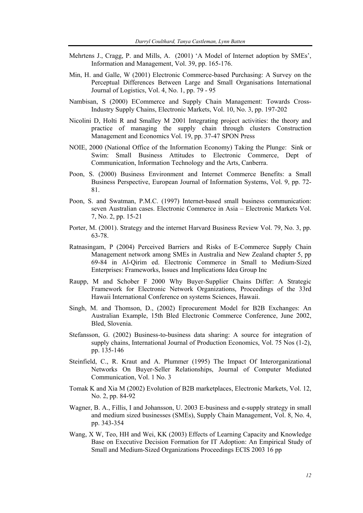- Mehrtens J., Cragg, P. and Mills, A. (2001) 'A Model of Internet adoption by SMEs', Information and Management, Vol. 39, pp. 165-176.
- Min, H. and Galle, W (2001) Electronic Commerce-based Purchasing: A Survey on the Perceptual Differences Between Large and Small Organisations International Journal of Logistics, Vol. 4, No. 1, pp. 79 - 95
- Nambisan, S (2000) ECommerce and Supply Chain Management: Towards Cross-Industry Supply Chains, Electronic Markets, Vol. 10, No. 3, pp. 197-202
- Nicolini D, Holti R and Smalley M 2001 Integrating project activities: the theory and practice of managing the supply chain through clusters Construction Management and Economics Vol. 19, pp. 37-47 SPON Press
- NOIE, 2000 (National Office of the Information Economy) Taking the Plunge: Sink or Swim: Small Business Attitudes to Electronic Commerce, Dept of Communication, Information Technology and the Arts, Canberra.
- Poon, S. (2000) Business Environment and Internet Commerce Benefits: a Small Business Perspective, European Journal of Information Systems, Vol. 9, pp. 72- 81.
- Poon, S. and Swatman, P.M.C. (1997) Internet-based small business communication: seven Australian cases. Electronic Commerce in Asia – Electronic Markets Vol. 7, No. 2, pp. 15-21
- Porter, M. (2001). Strategy and the internet Harvard Business Review Vol. 79, No. 3, pp. 63-78.
- Ratnasingam, P (2004) Perceived Barriers and Risks of E-Commerce Supply Chain Management network among SMEs in Australia and New Zealand chapter 5, pp 69-84 in Al-Qirim ed. Electronic Commerce in Small to Medium-Sized Enterprises: Frameworks, Issues and Implications Idea Group Inc
- Raupp, M and Schober F 2000 Why Buyer-Supplier Chains Differ: A Strategic Framework for Electronic Network Organizations, Proceedings of the 33rd Hawaii International Conference on systems Sciences, Hawaii.
- Singh, M. and Thomson, D., (2002) Eprocurement Model for B2B Exchanges: An Australian Example, 15th Bled Electronic Commerce Conference, June 2002, Bled, Slovenia.
- Stefansson, G. (2002) Business-to-business data sharing: A source for integration of supply chains, International Journal of Production Economics, Vol. 75 Nos (1-2), pp. 135-146
- Steinfield, C., R. Kraut and A. Plummer (1995) The Impact Of Interorganizational Networks On Buyer-Seller Relationships, Journal of Computer Mediated Communication, Vol. 1 No. 3
- Tomak K and Xia M (2002) Evolution of B2B marketplaces, Electronic Markets, Vol. 12, No. 2, pp. 84-92
- Wagner, B. A., Fillis, I and Johansson, U. 2003 E-business and e-supply strategy in small and medium sized businesses (SMEs), Supply Chain Management, Vol. 8, No. 4, pp. 343-354
- Wang, X W, Teo, HH and Wei, KK (2003) Effects of Learning Capacity and Knowledge Base on Executive Decision Formation for IT Adoption: An Empirical Study of Small and Medium-Sized Organizations Proceedings ECIS 2003 16 pp